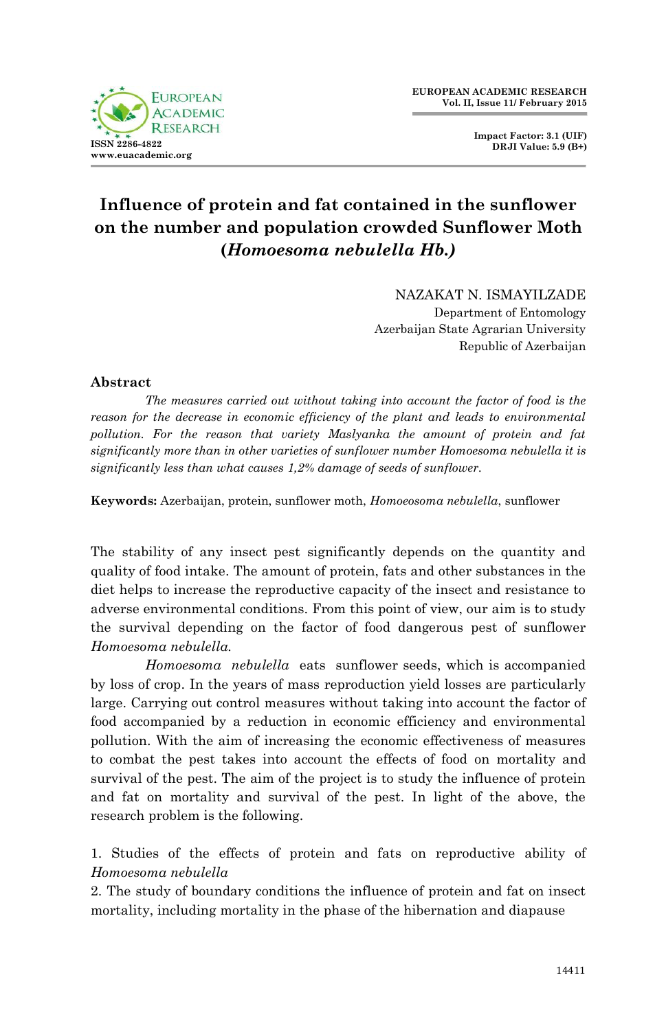

# **Influence of protein and fat contained in the sunflower on the number and population crowded Sunflower Moth (***Homoesoma nebulella Hb.)*

NAZAKAT N. ISMAYILZADE

Department of Entomology Azerbaijan State Agrarian University Republic of Azerbaijan

### **Abstract**

*The measures carried out without taking into account the factor of food is the reason for the decrease in economic efficiency of the plant and leads to environmental pollution. For the reason that variety Maslyanka the amount of protein and fat significantly more than in other varieties of sunflower number Homoesoma nebulella it is significantly less than what causes 1,2% damage of seeds of sunflower.*

**Keywords:** Azerbaijan, protein, sunflower moth, *Homoeosoma nebulella*, sunflower

The stability of any insect pest significantly depends on the quantity and quality of food intake. The amount of protein, fats and other substances in the diet helps to increase the reproductive capacity of the insect and resistance to adverse environmental conditions. From this point of view, our aim is to study the survival depending on the factor of food dangerous pest of sunflower *Homoesoma nebulella.* 

*Homoesoma nebulella* eats sunflower seeds, which is accompanied by loss of crop. In the years of mass reproduction yield losses are particularly large. Carrying out control measures without taking into account the factor of food accompanied by a reduction in economic efficiency and environmental pollution. With the aim of increasing the economic effectiveness of measures to combat the pest takes into account the effects of food on mortality and survival of the pest. The aim of the project is to study the influence of protein and fat on mortality and survival of the pest. In light of the above, the research problem is the following.

1. Studies of the effects of protein and fats on reproductive ability of *Homoesoma nebulella*

2. The study of boundary conditions the influence of protein and fat on insect mortality, including mortality in the phase of the hibernation and diapause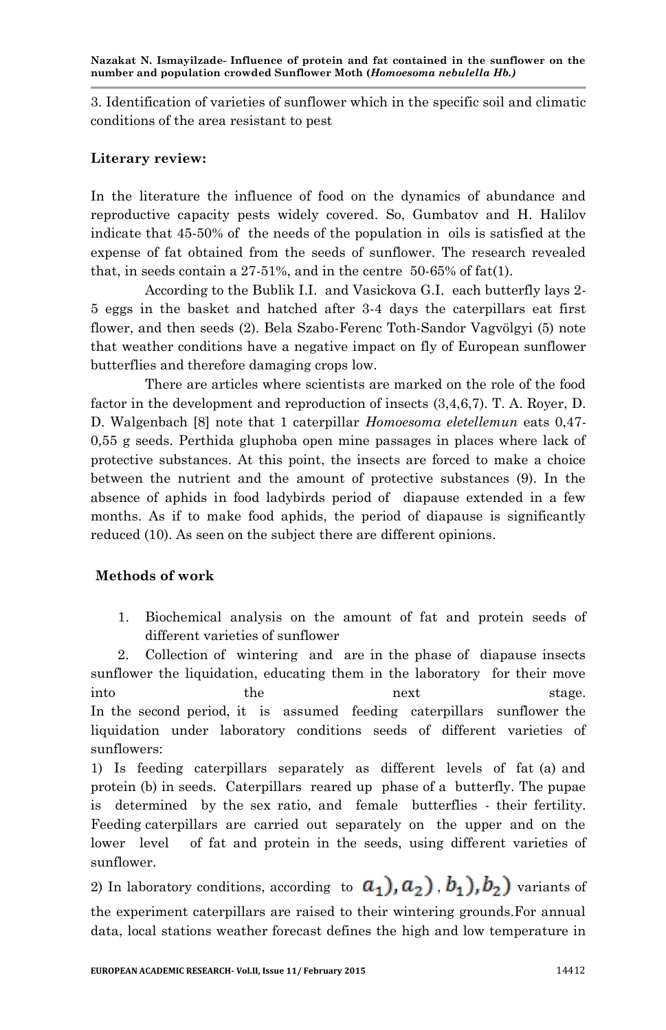3. Identification of varieties of sunflower which in the specific soil and climatic conditions of the area resistant to pest

## **Literary review:**

In the literature the influence of food on the dynamics of abundance and reproductive capacity pests widely covered. So, Gumbatov and H. Halilov indicate that 45-50% of the needs of the population in oils is satisfied at the expense of fat obtained from the seeds of sunflower. The research revealed that, in seeds contain a  $27-51\%$ , and in the centre 50-65% of fat(1).

According to the Bublik I.I. and Vasickova G.I. each butterfly lays 2- 5 eggs in the basket and hatched after 3-4 days the caterpillars eat first flower, and then seeds (2). Bela Szabo-Ferenc Toth-Sandor Vagvölgyi (5) note that weather conditions have a negative impact on fly of European sunflower butterflies and therefore damaging crops low.

There are articles where scientists are marked on the role of the food factor in the development and reproduction of insects (3,4,6,7). T. A. Royer, D. D. Walgenbach [8] note that 1 caterpillar *Homoesoma eletellemun* eats 0,47- 0,55 g seeds. Perthida gluphoba open mine passages in places where lack of protective substances. At this point, the insects are forced to make a choice between the nutrient and the amount of protective substances (9). In the absence of aphids in food ladybirds period of diapause extended in a few months. As if to make food aphids, the period of diapause is significantly reduced (10). As seen on the subject there are different opinions.

## **Methods of work**

1. Biochemical analysis on the amount of fat and protein seeds of different varieties of sunflower

2. Collection of wintering and are in the phase of diapause insects sunflower the liquidation, educating them in the laboratory for their move into the next stage. In the second period, it is assumed feeding caterpillars sunflower the liquidation under laboratory conditions seeds of different varieties of sunflowers:

1) Is feeding caterpillars separately as different levels of fat (a) and protein (b) in seeds. Caterpillars reared up phase of a butterfly. The pupae is determined by the sex ratio, and female butterflies - their fertility. Feeding caterpillars are carried out separately on the upper and on the lower level of fat and protein in the seeds, using different varieties of sunflower.

2) In laboratory conditions, according to  $a_1$ ,  $a_2$ ,  $b_1$ ,  $b_2$ , variants of the experiment caterpillars are raised to their wintering grounds.For annual data, local stations weather forecast defines the high and low temperature in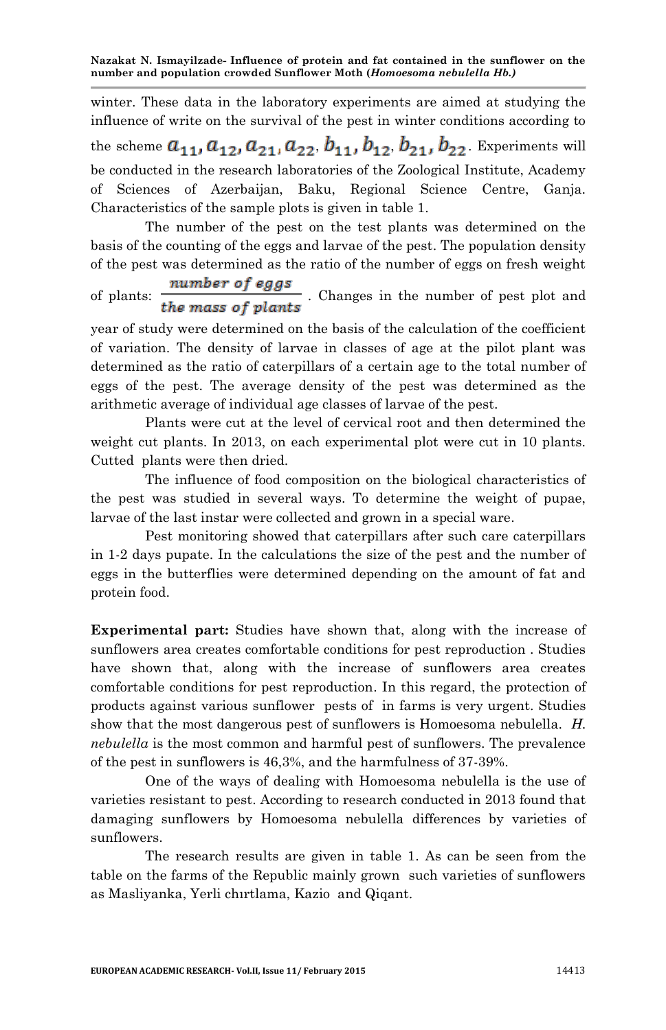**Nazakat N. Ismayilzade- Influence of protein and fat contained in the sunflower on the number and population crowded Sunflower Moth (***Homoesoma nebulella Hb.)*

winter. These data in the laboratory experiments are aimed at studying the influence of write on the survival of the pest in winter conditions according to

the scheme  $a_{11}, a_{12}, a_{21}, a_{22}, b_{11}, b_{12}, b_{21}, b_{22}$ . Experiments will be conducted in the research laboratories of the Zoological Institute, Academy of Sciences of Azerbaijan, Baku, Regional Science Centre, Ganja. Characteristics of the sample plots is given in table 1.

The number of the pest on the test plants was determined on the basis of the counting of the eggs and larvae of the pest. The population density of the pest was determined as the ratio of the number of eggs on fresh weight

of plants:  $\frac{number\ of\ eggs}{the\ mass\ of\ plants}$ . Changes in the number of pest plot and

year of study were determined on the basis of the calculation of the coefficient of variation. The density of larvae in classes of age at the pilot plant was determined as the ratio of caterpillars of a certain age to the total number of eggs of the pest. The average density of the pest was determined as the arithmetic average of individual age classes of larvae of the pest.

Plants were cut at the level of cervical root and then determined the weight cut plants. In 2013, on each experimental plot were cut in 10 plants. Cuttеd plants were then dried.

The influence of food composition on the biological characteristics of the pest was studied in several ways. To determine the weight of pupae, larvae of the last instar were collected and grown in a special ware.

Pest monitoring showed that caterpillars after such care caterpillars in 1-2 days pupate. In the calculations the size of the pest and the number of eggs in the butterflies were determined depending on the amount of fat and protein food.

**Experimental part:** Studies have shown that, along with the increase of sunflowers area creates comfortable conditions for pest reproduction . Studies have shown that, along with the increase of sunflowers area creates comfortable conditions for pest reproduction. In this regard, the protection of products against various sunflower pests of in farms is very urgent. Studies show that the most dangerous pest of sunflowers is Homoesoma nebulella. *H. nebulella* is the most common and harmful pest of sunflowers. The prevalence of the pest in sunflowers is 46,3%, and the harmfulness of 37-39%.

One of the ways of dealing with Homoesoma nebulella is the use of varieties resistant to pest. According to research conducted in 2013 found that damaging sunflowers by Homoesoma nebulella differences by varieties of sunflowers.

The research results are given in table 1. As can be seen from the table on the farms of the Republic mainly grown such varieties of sunflowers as Masliyanka, Yerli chırtlama, Kazio and Qiqant.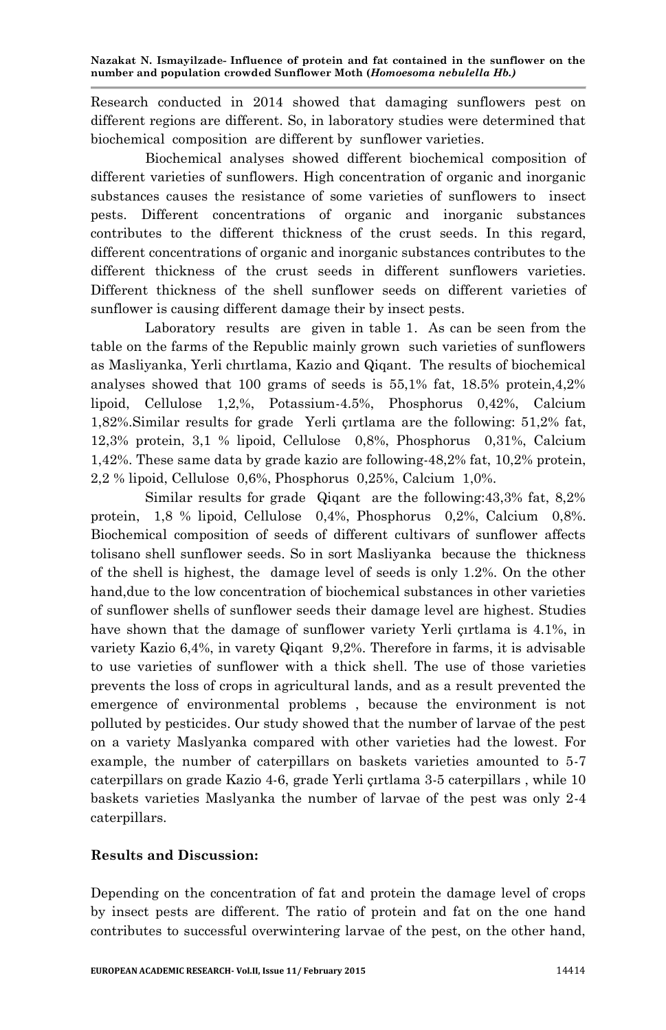Research conducted in 2014 showed that damaging sunflowers pest on different regions are different. So, in laboratory studies were determined that biochemical composition are different by sunflower varieties.

Biochemical analyses showed different biochemical composition of different varieties of sunflowers. High concentration of organic and inorganic substances causes the resistance of some varieties of sunflowers to insect pests. Different concentrations of organic and inorganic substances contributes to the different thickness of the crust seeds. In this regard, different concentrations of organic and inorganic substances contributes to the different thickness of the crust seeds in different sunflowers varieties. Different thickness of the shell sunflower seeds on different varieties of sunflower is causing different damage their by insect pests.

Laboratory results are given in table 1. As can be seen from the table on the farms of the Republic mainly grown such varieties of sunflowers as Masliyanka, Yerli chırtlama, Kazio and Qiqant. The results of biochemical analyses showed that 100 grams of seeds is 55,1% fat, 18.5% protein,4,2% lipoid, Cellulose 1,2,%, Potassium-4.5%, Phosphorus 0,42%, Calcium 1,82%.Similar results for grade Yerli çırtlama are the following: 51,2% fat, 12,3% protein, 3,1 % lipoid, Cellulose 0,8%, Phosphorus 0,31%, Calcium 1,42%. These same data by grade kazio are following-48,2% fat, 10,2% protein, 2,2 % lipoid, Cellulose 0,6%, Phosphorus 0,25%, Calcium 1,0%.

Similar results for grade Qiqant are the following:43,3% fat, 8,2% protein, 1,8 % lipoid, Cellulose 0,4%, Phosphorus 0,2%, Calcium 0,8%. Biochemical composition of seeds of different cultivars of sunflower affects tolisano shell sunflower seeds. So in sort Masliyanka because the thickness of the shell is highest, the damage level of seeds is only 1.2%. On the other hand,due to the low concentration of biochemical substances in other varieties of sunflower shells of sunflower seeds their damage level are highest. Studies have shown that the damage of sunflower variety Yerli çırtlama is 4.1%, in variety Kazio 6,4%, in varety Qiqant 9,2%. Therefore in farms, it is advisable to use varieties of sunflower with a thick shell. The use of those varieties prevents the loss of crops in agricultural lands, and as a result prevented the emergence of environmental problems , because the environment is not polluted by pesticides. Our study showed that the number of larvae of the pest on a variety Maslyanka compared with other varieties had the lowest. For example, the number of caterpillars on baskets varieties amounted to 5-7 caterpillars on grade Kazio 4-6, grade Yerli çırtlama 3-5 caterpillars , while 10 baskets varieties Maslyanka the number of larvae of the pest was only 2-4 caterpillars.

## **Results and Discussion:**

Depending on the concentration of fat and protein the damage level of crops by insect pests are different. The ratio of protein and fat on the one hand contributes to successful overwintering larvae of the pest, on the other hand,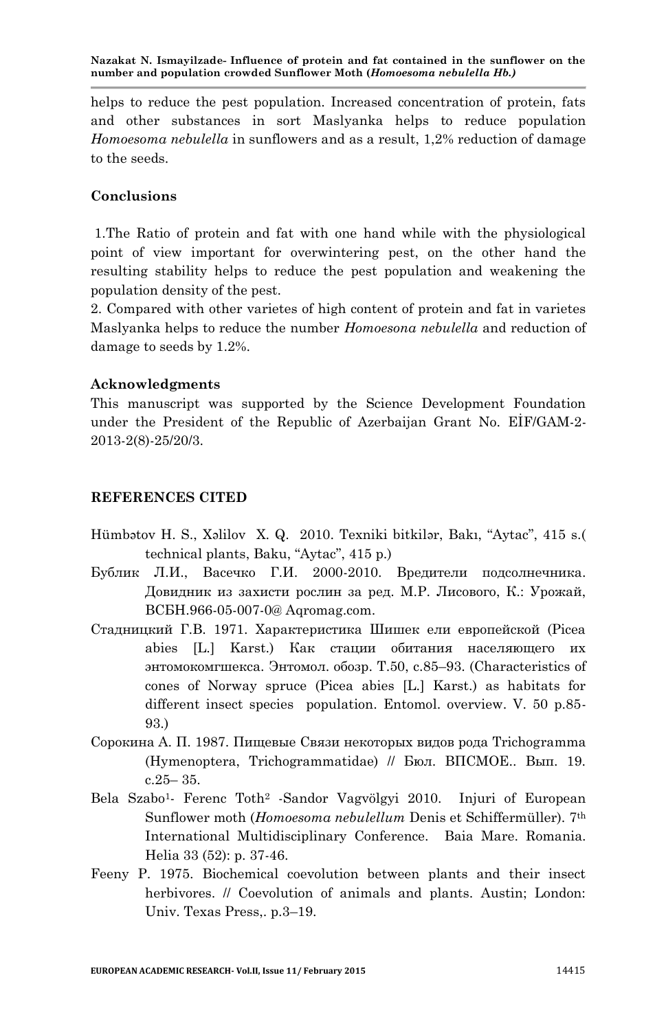**Nazakat N. Ismayilzade- Influence of protein and fat contained in the sunflower on the number and population crowded Sunflower Moth (***Homoesoma nebulella Hb.)*

helps to reduce the pest population. Increased concentration of protein, fats and other substances in sort Maslyanka helps to reduce population *Homoesoma nebulella* in sunflowers and as a result, 1,2% reduction of damage to the seeds.

#### **Conclusions**

1.The Ratio of protein and fat with one hand while with the physiological point of view important for overwintering pest, on the other hand the resulting stability helps to reduce the pest population and weakening the population density of the pest.

2. Compared with other varietes of high content of protein and fat in varietes Maslyanka helps to reduce the number *Homoesona nebulella* and reduction of damage to seeds by 1.2%.

#### **Acknowledgments**

This manuscript was supported by the Science Development Foundation under the President of the Republic of Azerbaijan Grant No. EİF/GAM-2- 2013-2(8)-25/20/3.

#### **REFERENCES CITED**

- Hümbətov H. S., Xəlilov X. Q. 2010. Texniki bitkilər, Bakı, "Aytac", 415 s.( technical plants, Baku, "Aytac", 415 p.)
- Бублик Л.И., Васечко Г.И. 2000-2010. Вредители подсолнечника. Довидник из захисти рослин за ред. М.Р. Лисового, К.: Урожай, BCБН.966-05-007-0@ Aqromag.com.
- Стадницкий Г.В. 1971. Характеристика Шишек ели европейской (Picea abies [L.] Karst.) Как стации обитания населяющего их энтомокомгшекса. Энтомол. обозр. Т.50, c.85–93. (Characteristics of cones of Norway spruce (Picea abies [L.] Karst.) as habitats for different insect species population. Entomol. overview. V. 50 p.85- 93.)
- Сорокина А. П. 1987. Пищевые Связи некоторых видов рода Trichogramma (Hymenoptera, Trichogrammatidae) // Бюл. ВПСМОЕ.. Вып. 19. c.25– 35.
- Bela Szabo<sup>1</sup>- Ferenc Toth<sup>2</sup> -Sandor Vagvölgyi 2010. Injuri of European Sunflower moth (*Homoesoma nebulellum* Denis et Schiffermüller). 7th International Multidisciplinary Conference. Baia Mare. Romania. Helia 33 (52): p. 37-46.
- Fееny P. 1975. Biochemical coevolution between plants and their insect herbivores. *//* Coevolution of animals and plants. Austin; London: Univ. Texas Press,. p.3–19.